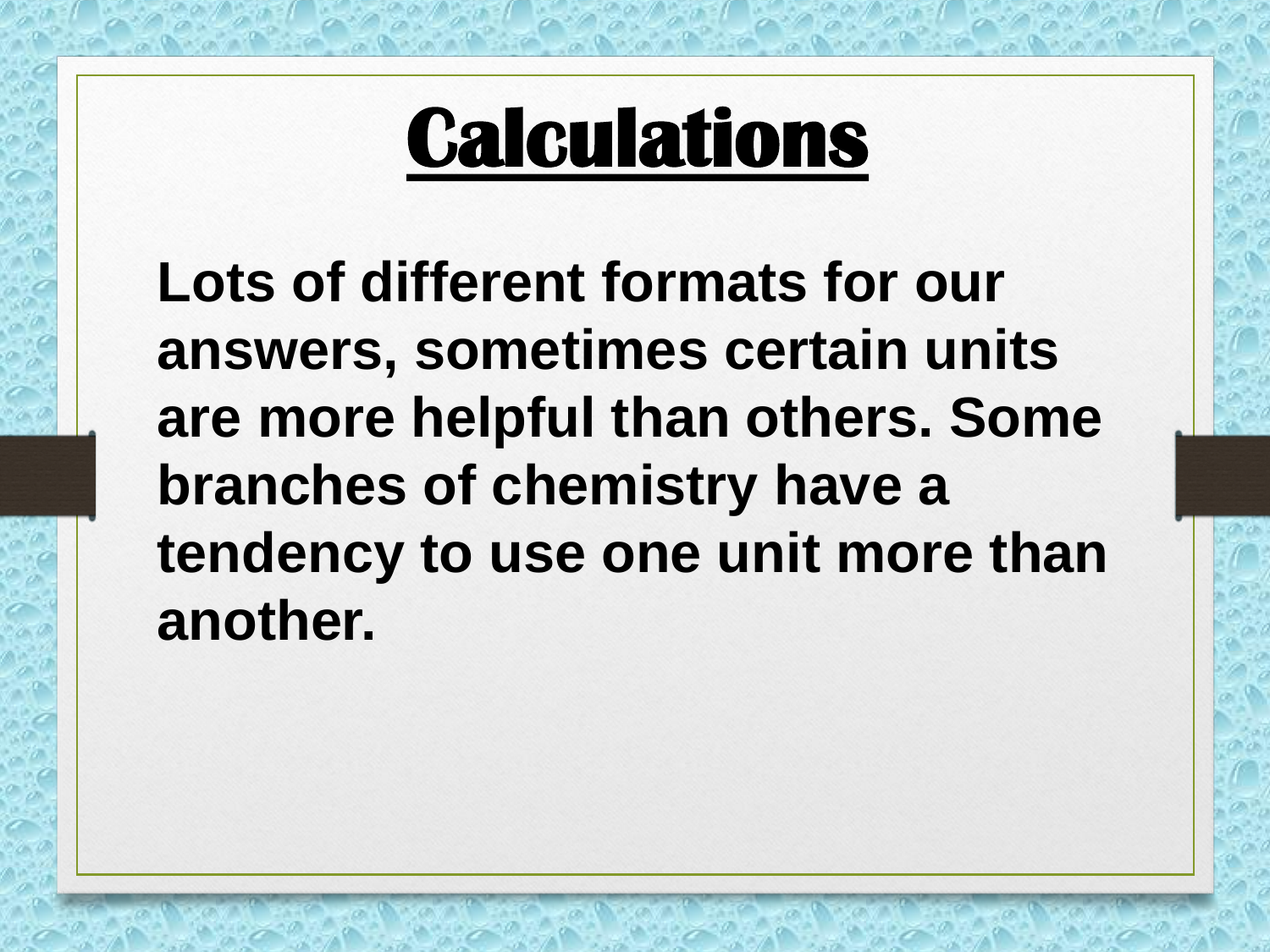### **Calculations**

**Lots of different formats for our answers, sometimes certain units are more helpful than others. Some branches of chemistry have a tendency to use one unit more than another.**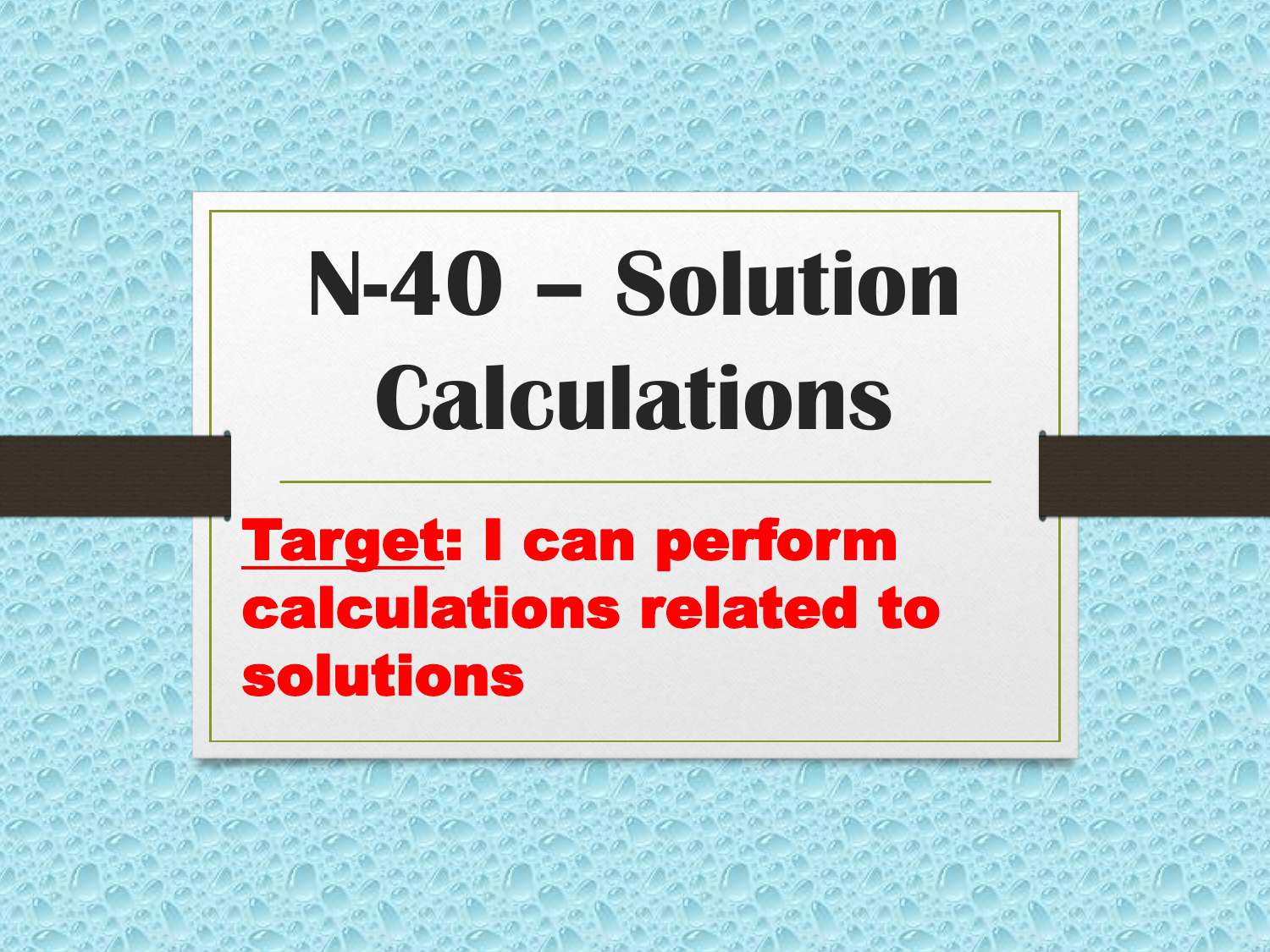# **N-40 – Solution Calculations**

#### Target: I can perform calculations related to solutions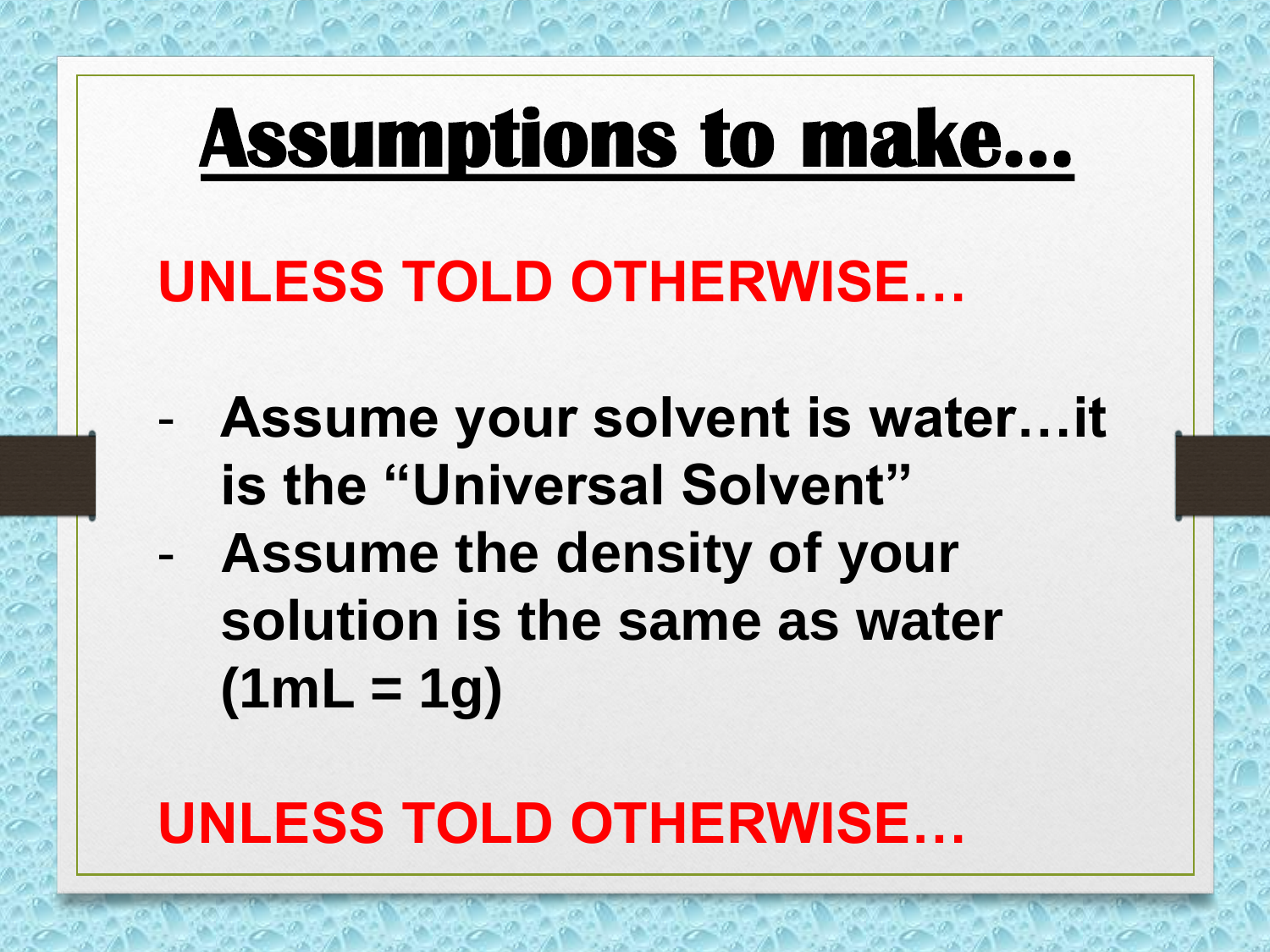### **Assumptions to make…**

#### **UNLESS TOLD OTHERWISE…**

- **Assume your solvent is water…it is the "Universal Solvent"**
- **Assume the density of your solution is the same as water (1mL = 1g)**

### **UNLESS TOLD OTHERWISE…**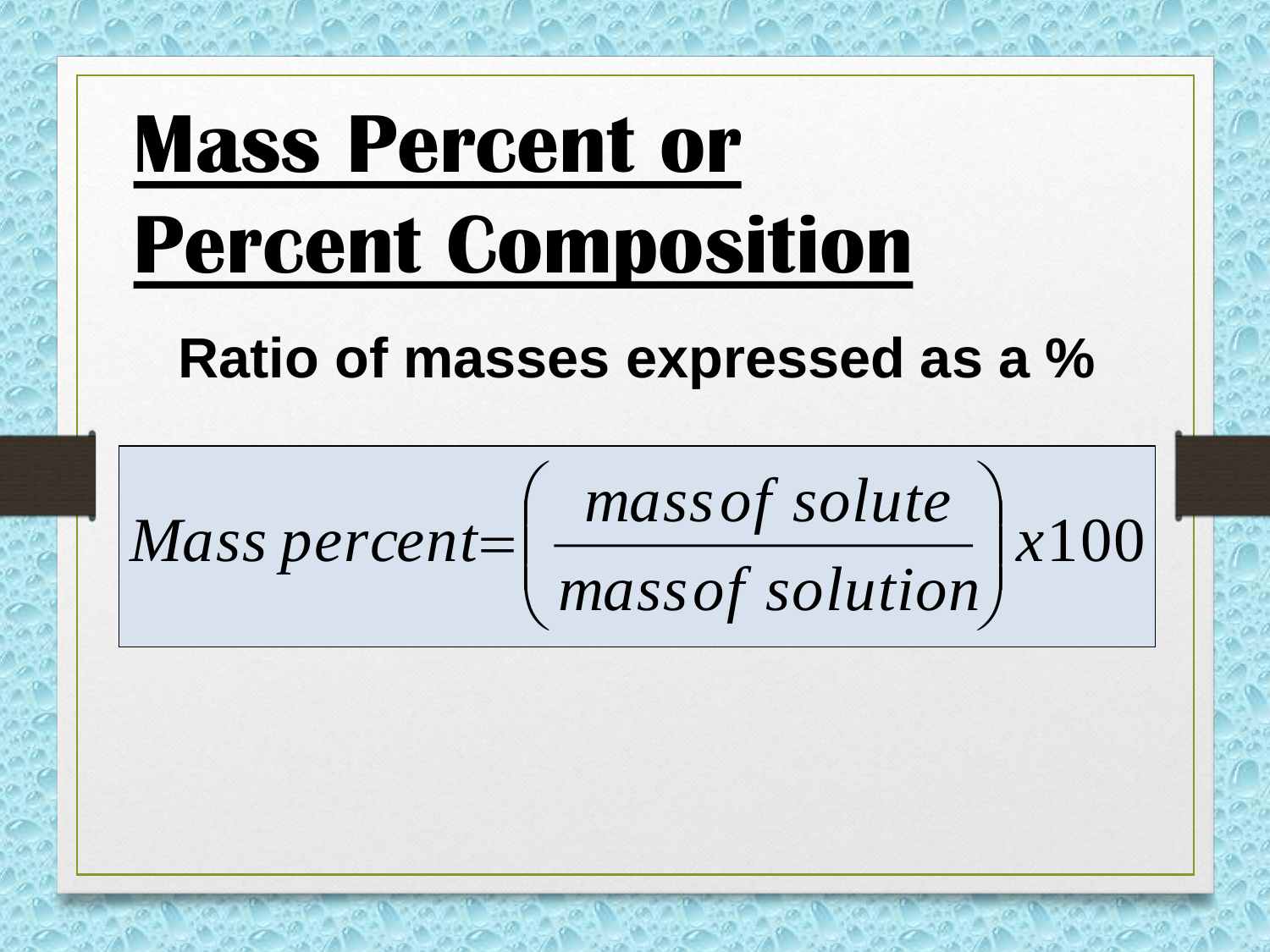## **Mass Percent or Percent Composition**

 $\overline{\phantom{a}}$ I

 $\bigg($ 

 $\setminus$ 

#### **Ratio of masses expressed as a %**

 $=$ 

*x*100 mass of solute<br>mass of solution *massof solute*<br>*Mass percent* =  $\left(\frac{mass of \, solute}{mass of \, solution}\right)$   $\int$  $\left.\rule{0pt}{10pt}\right.$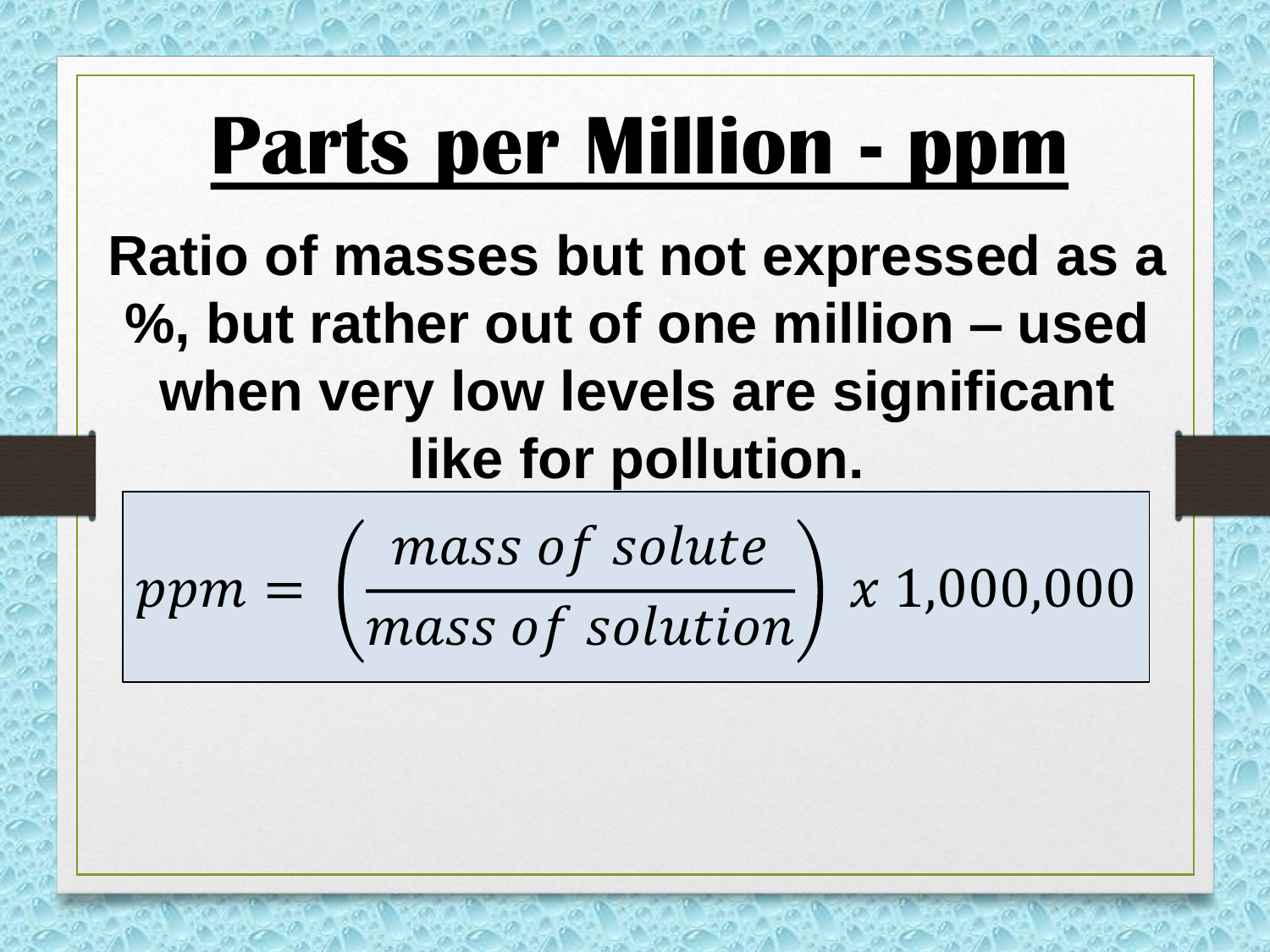### **Parts per Million - ppm**

**Ratio of masses but not expressed as a %, but rather out of one million – used when very low levels are significant like for pollution.** 

 $ppm =$ mass of solute 1,000,000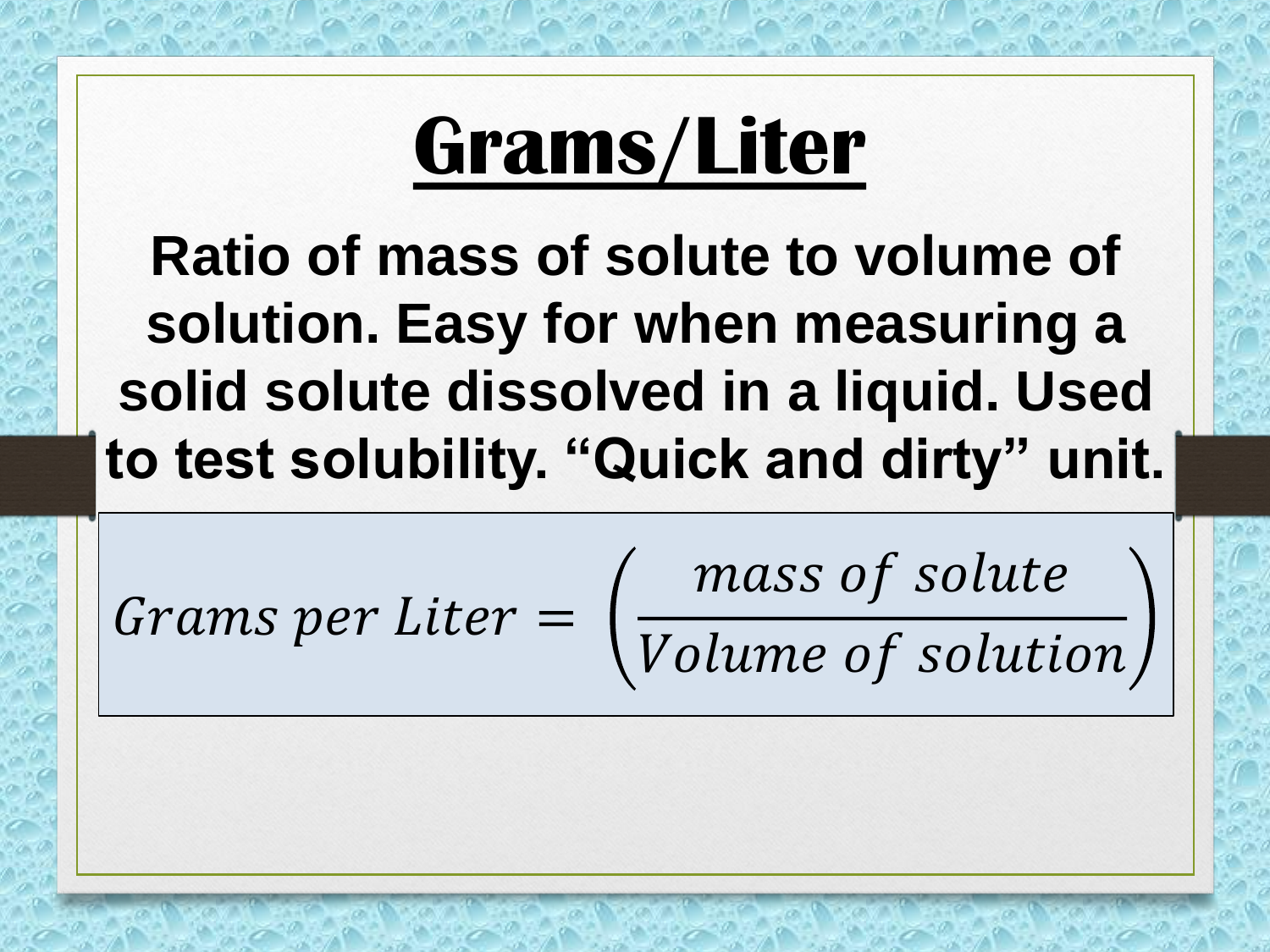### **Grams/Liter**

**Ratio of mass of solute to volume of solution. Easy for when measuring a solid solute dissolved in a liquid. Used to test solubility. "Quick and dirty" unit.** 

Grams per Liter =

mass of solute

Volume of solution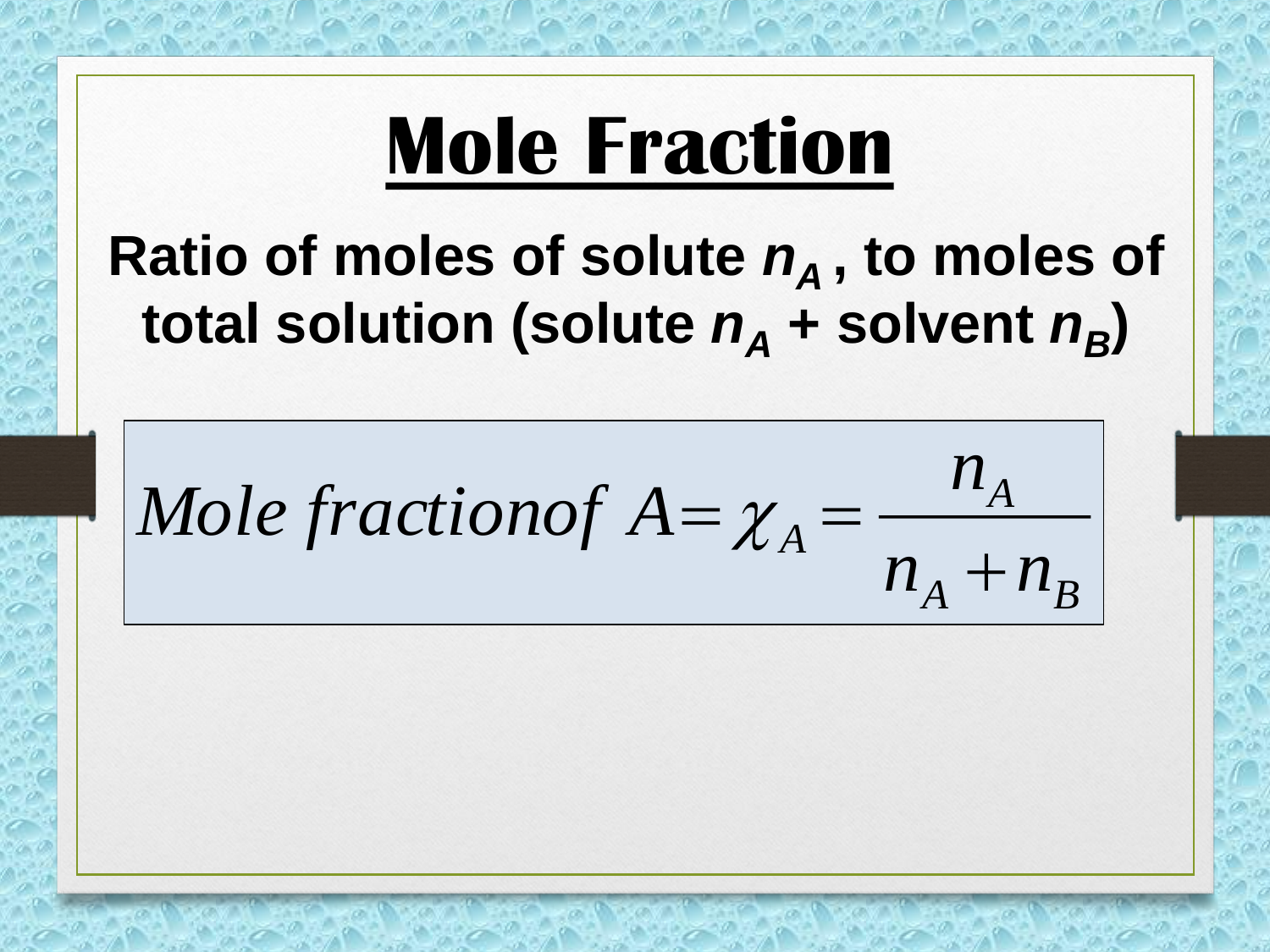### **Mole Fraction**

### Ratio of moles of solute  $n_A$ , to moles of total solution (solute  $n_A$  + solvent  $n_B$ )

 $n_A + n_B$ *A n Mole* fractionof  $A = \chi_A$  $=\chi_{A}^{\dagger}$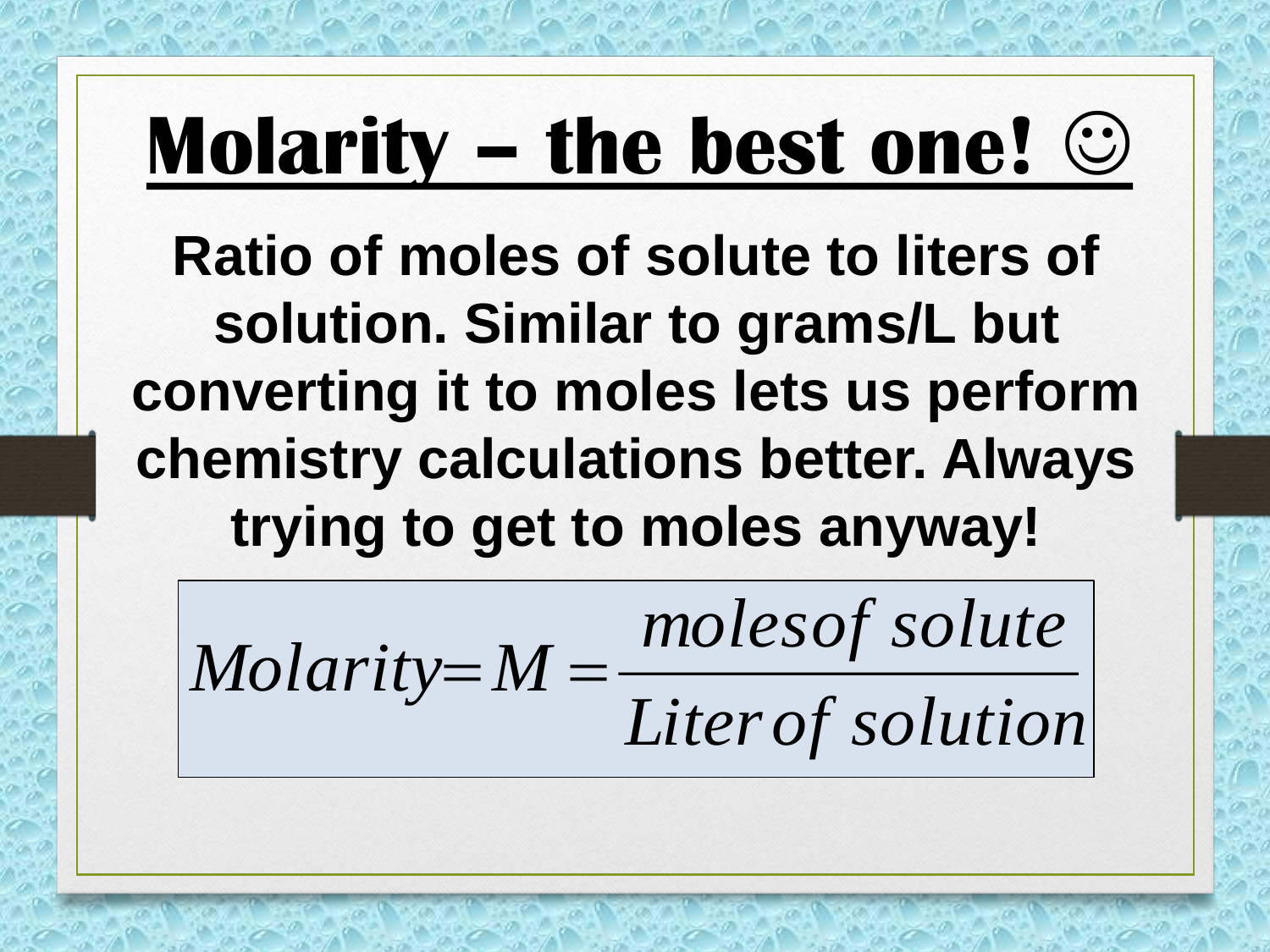### **Molarity – the best one!**

**Ratio of moles of solute to liters of solution. Similar to grams/L but converting it to moles lets us perform chemistry calculations better. Always trying to get to moles anyway!**

*Literof solution*  $Molarity = M = \frac{molesof\,solute}{\frac{1}{2}}$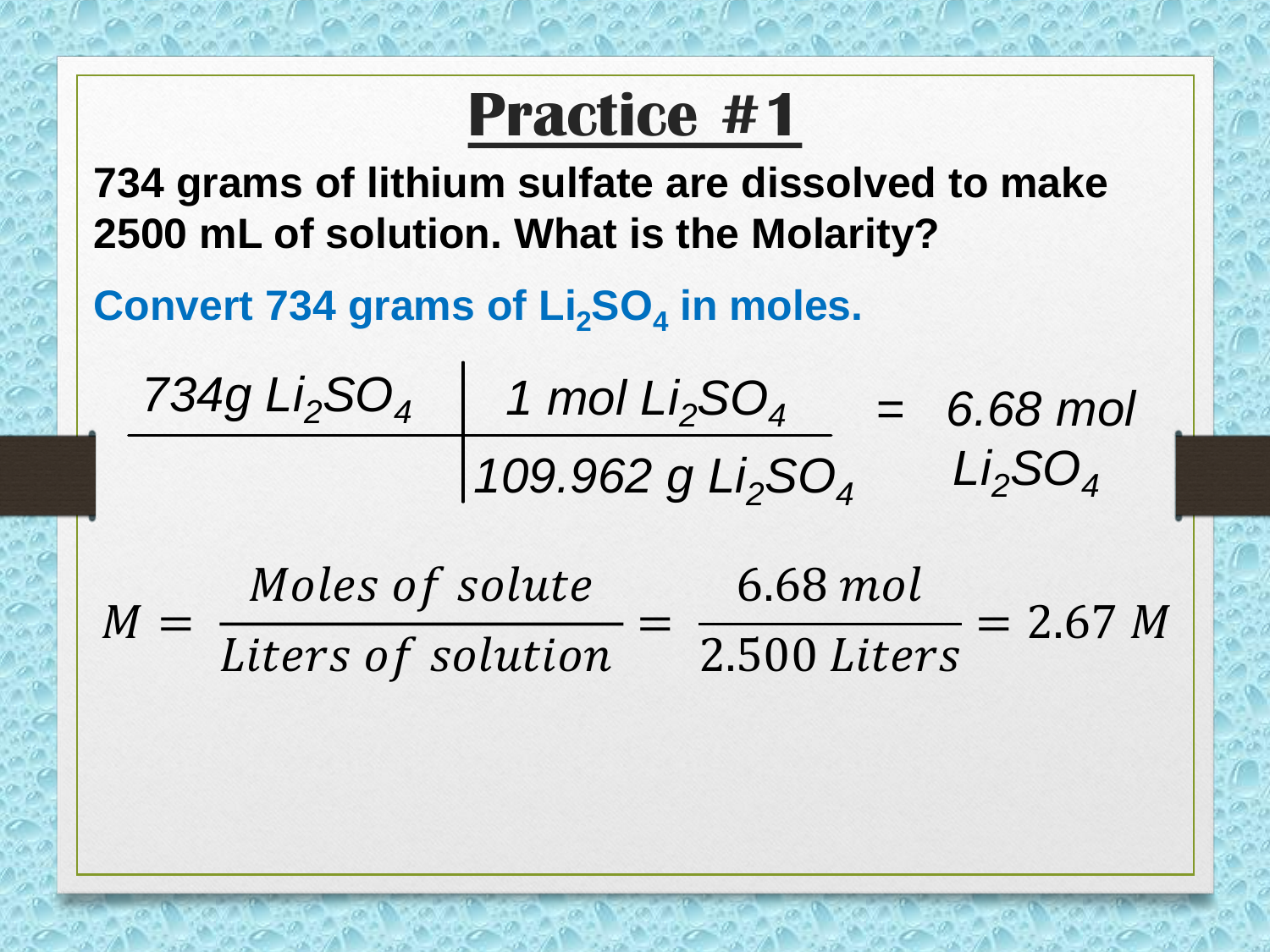#### **Practice #1**

**734 grams of lithium sulfate are dissolved to make 2500 mL of solution. What is the Molarity?**

**Convert 734 grams of Li2SO<sup>4</sup> in moles.**

$$
\frac{734g \, Li_2SO_4}{109.962 \, g \, Li_2SO_4} = 6.68 \, mol
$$

 $M =$ Moles of solute Liters of solution = 6.68 2.500  $= 2.67 M$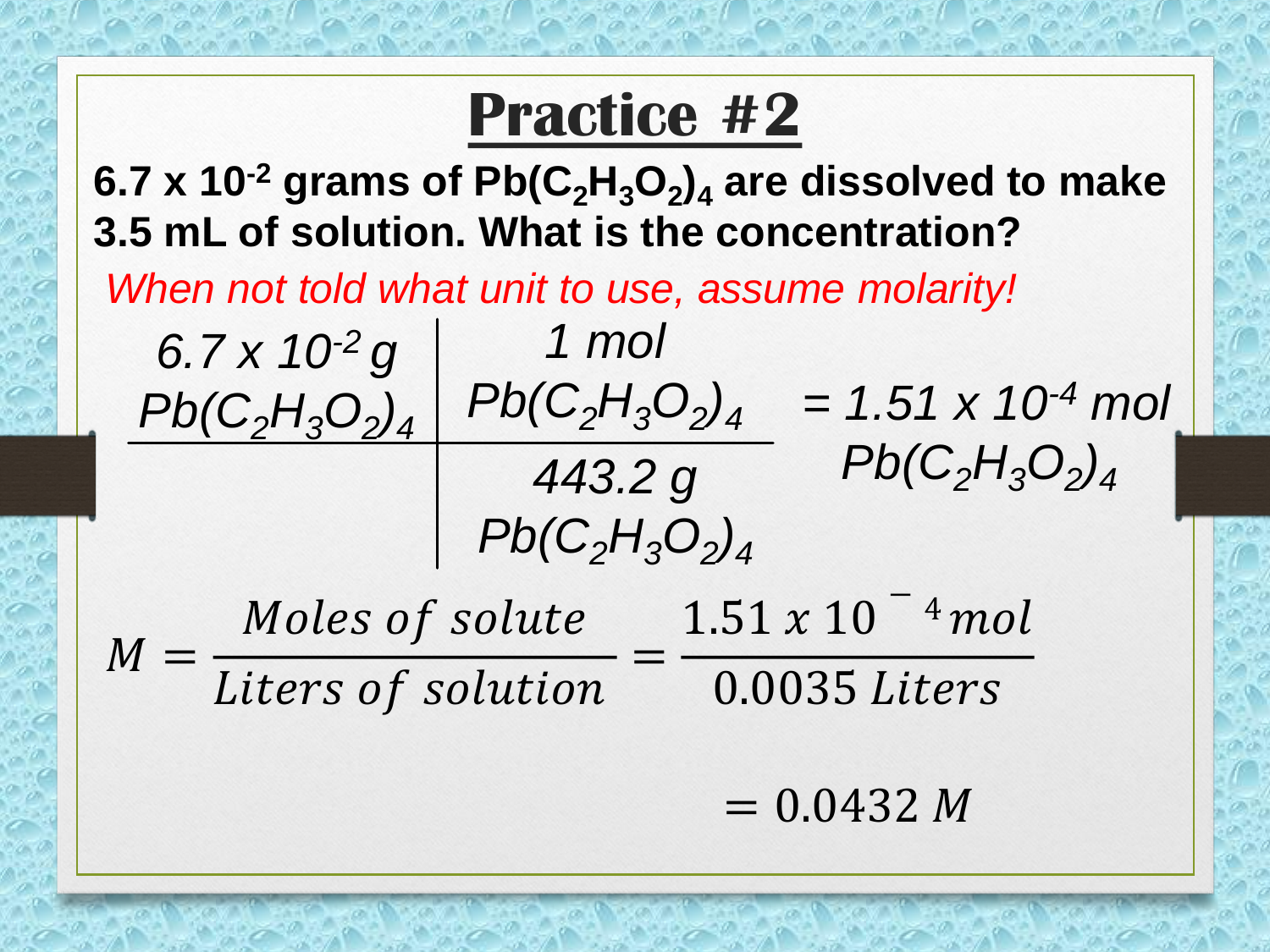#### **Practice #2**

**6.7 x 10-2 grams of Pb(C2H3O<sup>2</sup> )<sup>4</sup> are dissolved to make 3.5 mL of solution. What is the concentration?**

*1 mol*

*When not told what unit to use, assume molarity!*

*6.7 x 10-2 g*

 $Pb(C_2H_3O_2)_4$   $Pb(C_2H_3O_2)_4$  = 1.51 x 10<sup>-4</sup> mol *443.2 g Pb(C2H3O<sup>2</sup> )4 Pb(C2H3O<sup>2</sup> )4*

 $M =$ Moles of solute  $1.51 \times 10^{-4}$  mol Liters of solution = 0.0035

 $= 0.0432 M$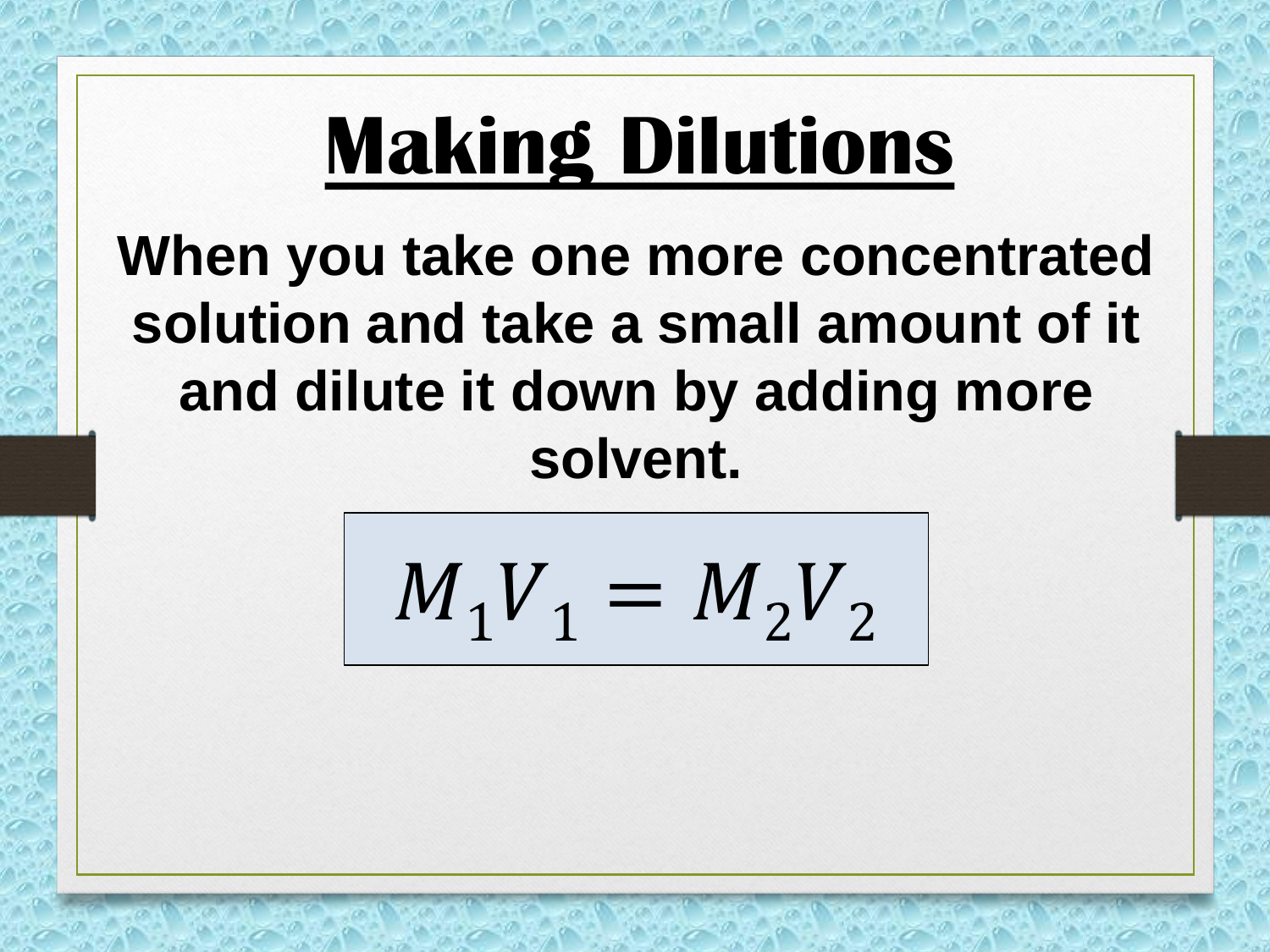### **Making Dilutions**

#### **When you take one more concentrated solution and take a small amount of it and dilute it down by adding more solvent.**

$$
M_1 V_1 = M_2 V_2
$$